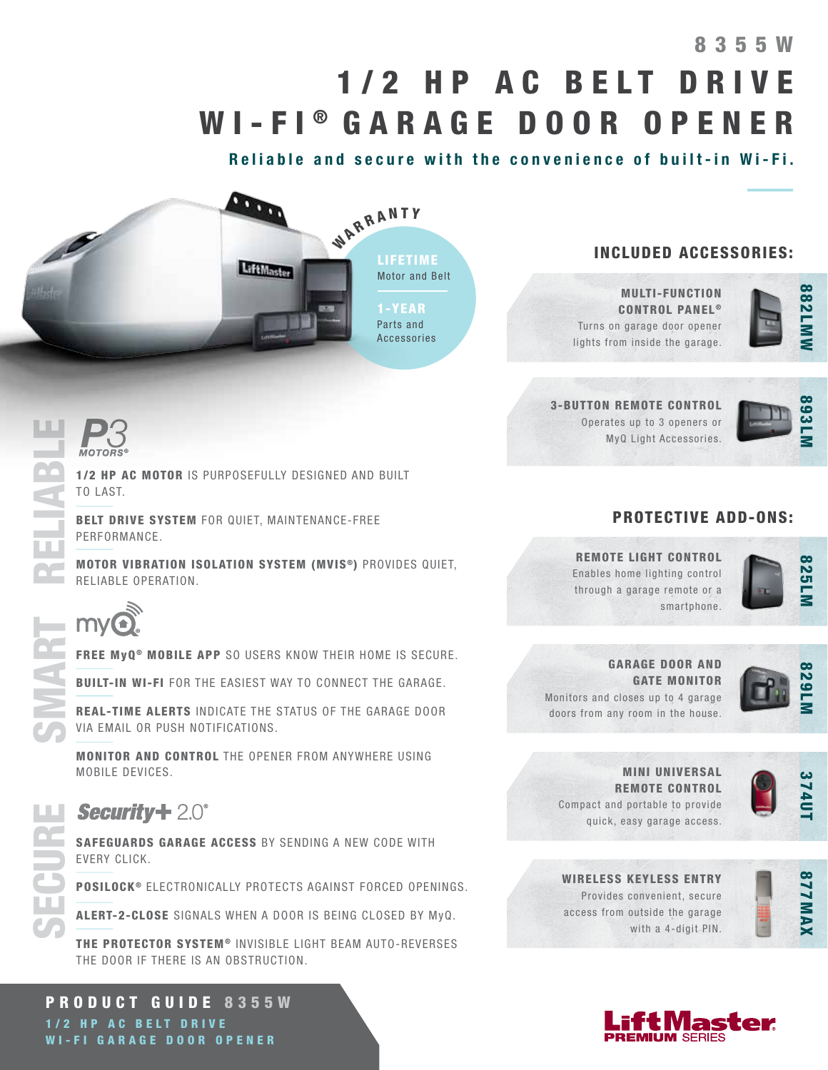# 8 3 5 5 W 8355W 1/2 HP AC BELT DRIVE WI-FI<sup>®</sup> GARAGE DOOR OPENER

Reliable and secure with the convenience of built-in Wi-Fi.



## INCLUDED ACCESSORIES:

MULTI-FUNCTION CONTROL PANEL<sup>®</sup> Turns on garage door opener lights from inside the garage.



3-BUTTON REMOTE CONTROL Operates up to 3 openers or MyQ Light Accessories.



## PROTECTIVE ADD-ONS:

REMOTE LIGHT CONTROL Enables home lighting control through a garage remote or a smartphone.



GARAGE DOOR AND GATE MONITOR Monitors and closes up to 4 garage doors from any room in the house.



MINI UNIVERSAL REMOTE CONTROL Compact and portable to provide quick, easy garage access.



WIRELESS KEYLESS ENTRY Provides convenient, secure access from outside the garage with a 4-digit PIN.





1/2 HP AC MOTOR IS PURPOSEFULLY DESIGNED AND BUILT TO LAST. MOTORS<sup>®</sup><br>
1/2 HP AC MOTOR IS PURPOSEFULLY DESIGNED AND BUILT<br>
TO LAST.<br>
BELT DRIVE SYSTEM FOR QUIET, MAINTENANCE-FREE<br>
PERFORMANCE.<br>
MOTOR VIBRATION ISOLATION SYSTEM (MVIS<sup>®</sup>) PROVIDES QUIET,<br>
RELIABLE OPERATION

BELT DRIVE SYSTEM FOR QUIET, MAINTENANCE-FREE PERFORMANCE.

RELIABLE OPERATION.

FREE MyQ<sup>®</sup> MOBILE APP SO USERS KNOW THEIR HOME IS SECURE.

BUILT-IN WI-FI FOR THE EASIEST WAY TO CONNECT THE GARAGE.

REAL-TIME ALERTS INDICATE THE STATUS OF THE GARAGE DOOR VIA EMAIL OR PUSH NOTIFICATIONS.

MONITOR AND CONTROL THE OPENER FROM ANYWHERE USING MOBILE DEVICES.

SAFEGUARDS GARAGE ACCESS BY SENDING A NEW CODE WITH EVERY CLICK.

POSILOCK<sup>®</sup> ELECTRONICALLY PROTECTS AGAINST FORCED OPENINGS.

ALERT-2-CLOSE SIGNALS WHEN A DOOR IS BEING CLOSED BY MyQ.

THE PROTECTOR SYSTEM® INVISIBLE LIGHT BEAM AUTO-REVERSES THE DOOR IF THERE IS AN OBSTRUCTION.

PRODUCT GUIDE 8355W 1/2 HP AC BELT DRIVE WI-FI GARAGE DOOR OPENER